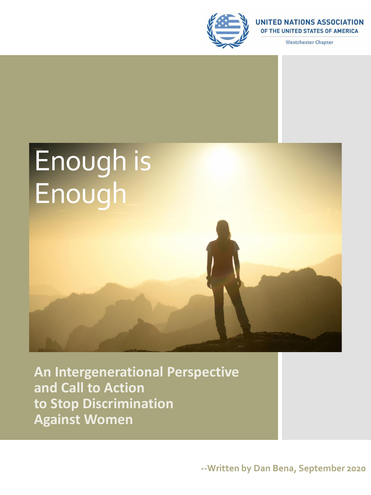

**UNITED NATIONS ASSOCIATION** OF THE UNITED STATES OF AMERICA

**Westchester Chapter** 



**An Intergenerational Perspective and Call to Action to Stop Discrimination Against Women**

**--Written by Dan Bena, September 2020**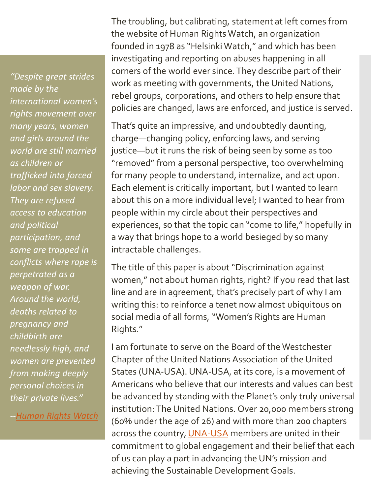*"Despite great strides made by the international women's rights movement over many years, women and girls around the world are still married as children or trafficked into forced labor and sex slavery. They are refused access to education and political participation, and some are trapped in conflicts where rape is perpetrated as a weapon of war. Around the world, deaths related to pregnancy and childbirth are needlessly high, and women are prevented from making deeply personal choices in their private lives."*

*-[-Human Rights](https://www.hrw.org/topic/womens-rights) Watch*

The troubling, but calibrating, statement at left comes from the website of Human Rights Watch, an organization founded in 1978 as "Helsinki Watch," and which has been investigating and reporting on abuses happening in all corners of the world ever since. They describe part of their work as meeting with governments, the United Nations, rebel groups, corporations, and others to help ensure that policies are changed, laws are enforced, and justice is served.

That's quite an impressive, and undoubtedly daunting, charge—changing policy, enforcing laws, and serving justice—but it runs the risk of being seen by some as too "removed" from a personal perspective, too overwhelming for many people to understand, internalize, and act upon. Each element is critically important, but I wanted to learn about this on a more individual level; I wanted to hear from people within my circle about their perspectives and experiences, so that the topic can "come to life," hopefully in a way that brings hope to a world besieged by so many intractable challenges.

The title of this paper is about "Discrimination against women," not about human rights, right? If you read that last line and are in agreement, that's precisely part of why I am writing this: to reinforce a tenet now almost ubiquitous on social media of all forms, "Women's Rights are Human Rights."

I am fortunate to serve on the Board of the Westchester Chapter of the United Nations Association of the United States (UNA-USA). UNA-USA, at its core, is a movement of Americans who believe that our interests and values can best be advanced by standing with the Planet's only truly universal institution: The United Nations. Over 20,000 members strong (60% under the age of 26) and with more than 200 chapters across the country, [UNA-USA](https://unausa.org/) members are united in their commitment to global engagement and their belief that each of us can play a part in advancing the UN's mission and achieving the Sustainable Development Goals.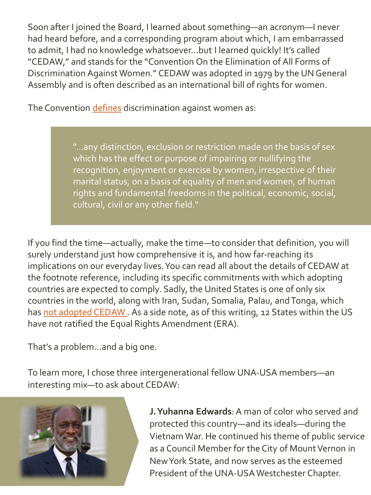Soon after I joined the Board, I learned about something—an acronym—I never had heard before, and a corresponding program about which, I am embarrassed to admit, I had no knowledge whatsoever…but I learned quickly! It's called "CEDAW," and stands for the "Convention On the Elimination of All Forms of Discrimination Against Women." CEDAW was adopted in 1979 by the UN General Assembly and is often described as an international bill of rights for women.

The Convention *defines* discrimination against women as:

"...any distinction, exclusion or restriction made on the basis of sex which has the effect or purpose of impairing or nullifying the recognition, enjoyment or exercise by women, irrespective of their marital status, on a basis of equality of men and women, of human rights and fundamental freedoms in the political, economic, social, cultural, civil or any other field."

If you find the time—actually, make the time—to consider that definition, you will surely understand just how comprehensive it is, and how far-reaching its implications on our everyday lives. You can read all about the details of CEDAW at the footnote reference, including its specific commitments with which adopting countries are expected to comply. Sadly, the United States is one of only six countries in the world, along with Iran, Sudan, Somalia, Palau, and Tonga, which has not adopted CEDAW. As a side note, as of this writing, 12 States within the US have not ratified the Equal Rights Amendment (ERA).

That's a problem…and a big one.

To learn more, I chose three intergenerational fellow UNA-USA members—an interesting mix—to ask about CEDAW:



**J. Yuhanna Edwards**: A man of color who served and protected this country—and its ideals—during the Vietnam War. He continued his theme of public service as a Council Member for the City of Mount Vernon in New York State, and now serves as the esteemed President of the UNA-USA Westchester Chapter.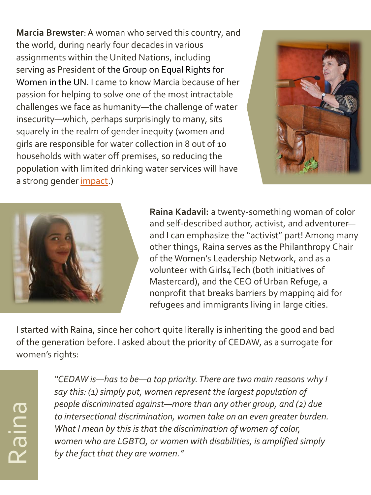**Marcia Brewster**: A woman who served this country, and the world, during nearly four decades in various assignments within the United Nations, including serving as President of the Group on Equal Rights for Women in the UN. I came to know Marcia because of her passion for helping to solve one of the most intractable challenges we face as humanity—the challenge of water insecurity—which, perhaps surprisingly to many, sits squarely in the realm of gender inequity (women and girls are responsible for water collection in 8 out of 10 households with water off premises, so reducing the population with limited drinking water services will have a strong gender *impact*.)





**Raina Kadavil:** a twenty-something woman of color and self-described author, activist, and adventurer and I can emphasize the "activist" part! Among many other things, Raina serves as the Philanthropy Chair of the Women's Leadership Network, and as a volunteer with Girls4Tech (both initiatives of Mastercard), and the CEO of Urban Refuge, a nonprofit that breaks barriers by mapping aid for refugees and immigrants living in large cities.

I started with Raina, since her cohort quite literally is inheriting the good and bad of the generation before. I asked about the priority of CEDAW, as a surrogate for women's rights:

*"CEDAW is—has to be—a top priority. There are two main reasons why I say this: (1) simply put, women represent the largest population of people discriminated against—more than any other group, and (2) due to intersectional discrimination, women take on an even greater burden. What I mean by this is that the discrimination of women of color, women who are LGBTQ, or women with disabilities, is amplified simply by the fact that they are women."*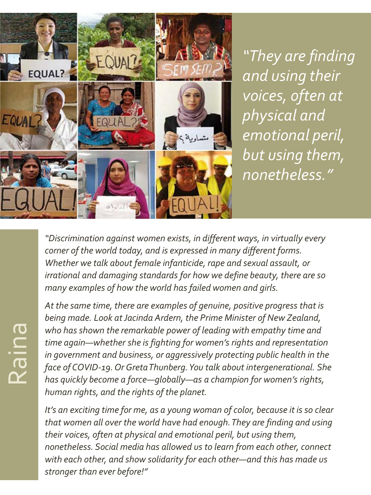

*"They are finding and using their voices, often at physical and emotional peril, but using them, nonetheless."* 

*"Discrimination against women exists, in different ways, in virtually every corner of the world today, and is expressed in many different forms. Whether we talk about female infanticide, rape and sexual assault, or irrational and damaging standards for how we define beauty, there are so many examples of how the world has failed women and girls.*

*At the same time, there are examples of genuine, positive progress that is being made. Look at Jacinda Ardern, the Prime Minister of New Zealand, who has shown the remarkable power of leading with empathy time and time again—whether she is fighting for women's rights and representation in government and business, or aggressively protecting public health in the face of COVID-19. Or Greta Thunberg. You talk about intergenerational. She has quickly become a force—globally—as a champion for women's rights, human rights, and the rights of the planet.*

*It's an exciting time for me, as a young woman of color, because it is so clear that women all over the world have had enough. They are finding and using their voices, often at physical and emotional peril, but using them, nonetheless. Social media has allowed us to learn from each other, connect with each other, and show solidarity for each other—and this has made us stronger than ever before!"*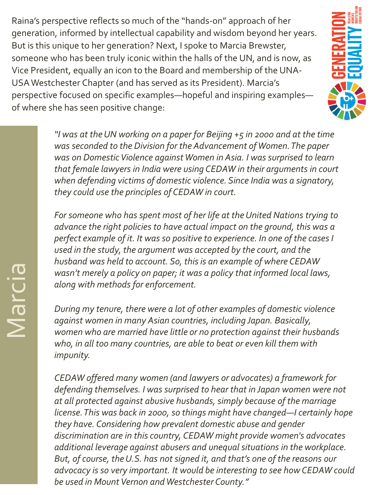Raina's perspective reflects so much of the "hands-on" approach of her generation, informed by intellectual capability and wisdom beyond her years. But is this unique to her generation? Next, I spoke to Marcia Brewster, someone who has been truly iconic within the halls of the UN, and is now, as Vice President, equally an icon to the Board and membership of the UNA-USA Westchester Chapter (and has served as its President). Marcia's perspective focused on specific examples—hopeful and inspiring examples of where she has seen positive change:



*"I was at the UN working on a paper for Beijing +5 in 2000 and at the time was seconded to the Division for the Advancement of Women. The paper was on Domestic Violence against Women in Asia. I was surprised to learn that female lawyers in India were using CEDAW in their arguments in court when defending victims of domestic violence. Since India was a signatory, they could use the principles of CEDAW in court.*

*For someone who has spent most of her life at the United Nations trying to advance the right policies to have actual impact on the ground, this was a perfect example of it. It was so positive to experience. In one of the cases I used in the study, the argument was accepted by the court, and the husband was held to account. So, this is an example of where CEDAW wasn't merely a policy on paper; it was a policy that informed local laws, along with methods for enforcement.*

*During my tenure, there were a lot of other examples of domestic violence against women in many Asian countries, including Japan. Basically, women who are married have little or no protection against their husbands who, in all too many countries, are able to beat or even kill them with impunity.* 

*CEDAW offered many women (and lawyers or advocates) a framework for defending themselves. I was surprised to hear that in Japan women were not at all protected against abusive husbands, simply because of the marriage license. This was back in 2000, so things might have changed—I certainly hope they have. Considering how prevalent domestic abuse and gender discrimination are in this country, CEDAW might provide women's advocates additional leverage against abusers and unequal situations in the workplace. But, of course, the U.S. has not signed it, and that's one of the reasons our advocacy is so very important. It would be interesting to see how CEDAW could be used in Mount Vernon and Westchester County."*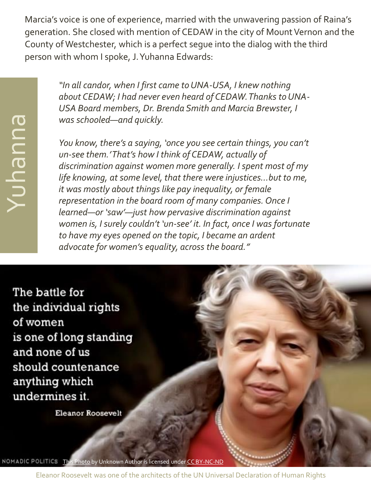Marcia's voice is one of experience, married with the unwavering passion of Raina's generation. She closed with mention of CEDAW in the city of Mount Vernon and the County of Westchester, which is a perfect segue into the dialog with the third person with whom I spoke, J. Yuhanna Edwards:

> *"In all candor, when I first came to UNA-USA, I knew nothing about CEDAW; I had never even heard of CEDAW. Thanks to UNA-USA Board members, Dr. Brenda Smith and Marcia Brewster, I was schooled—and quickly.*

> *You know, there's a saying, 'once you see certain things, you can't un-see them.' That's how I think of CEDAW, actually of discrimination against women more generally. I spent most of my life knowing, at some level, that there were injustices…but to me, it was mostly about things like pay inequality, or female representation in the board room of many companies. Once I learned—or 'saw'—just how pervasive discrimination against women is, I surely couldn't 'un-see' it. In fact, once I was fortunate to have my eyes opened on the topic, I became an ardent advocate for women's equality, across the board."*

The battle for the individual rights of women is one of long standing and none of us should countenance anything which undermines it.

Yuhanna

**Eleanor Roosevelt** 

[This Photo](https://nomadicpolitics.blogspot.com/2018/09/3-pertinent-quotes-on-rights-of-women.html) by Unknown Author is licensed under [CC BY-NC-ND](https://creativecommons.org/licenses/by-nc-nd/3.0/) NOMADIC POLITICS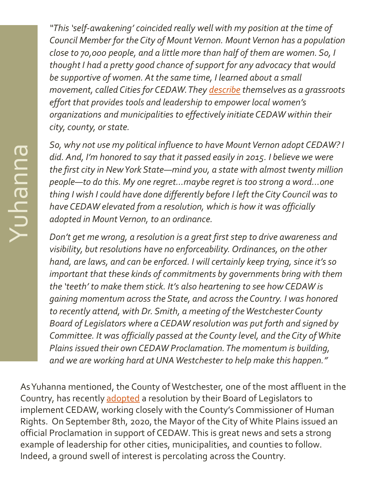*"This 'self-awakening' coincided really well with my position at the time of Council Member for the City of Mount Vernon. Mount Vernon has a population close to 70,000 people, and a little more than half of them are women. So, I thought I had a pretty good chance of support for any advocacy that would be supportive of women. At the same time, I learned about a small movement, called Cities for CEDAW. They [describe](http://citiesforcedaw.org/about-cedaw/) themselves as a grassroots effort that provides tools and leadership to empower local women's organizations and municipalities to effectively initiate CEDAW within their city, county, or state.*

*So, why not use my political influence to have Mount Vernon adopt CEDAW? I did. And, I'm honored to say that it passed easily in 2015. I believe we were the first city in New York State—mind you, a state with almost twenty million people—to do this. My one regret…maybe regret is too strong a word...one thing I wish I could have done differently before I left the City Council was to have CEDAW elevated from a resolution, which is how it was officially adopted in Mount Vernon, to an ordinance.*

*Don't get me wrong, a resolution is a great first step to drive awareness and visibility, but resolutions have no enforceability. Ordinances, on the other hand, are laws, and can be enforced. I will certainly keep trying, since it's so important that these kinds of commitments by governments bring with them the 'teeth' to make them stick. It's also heartening to see how CEDAW is gaining momentum across the State, and across the Country. I was honored to recently attend, with Dr. Smith, a meeting of the Westchester County Board of Legislators where a CEDAW resolution was put forth and signed by Committee. It was officially passed at the County level, and the City of White Plains issued their own CEDAW Proclamation. The momentum is building, and we are working hard at UNA Westchester to help make this happen."*

As Yuhanna mentioned, the County of Westchester, one of the most affluent in the Country, has recently [adopted](http://westchestercountyny.iqm2.com/Citizens/FileOpen.aspx?Type=4&ID=22757&MeetingID=5827) a resolution by their Board of Legislators to implement CEDAW, working closely with the County's Commissioner of Human Rights. On September 8th, 2020, the Mayor of the City of White Plains issued an official Proclamation in support of CEDAW. This is great news and sets a strong example of leadership for other cities, municipalities, and counties to follow. Indeed, a ground swell of interest is percolating across the Country.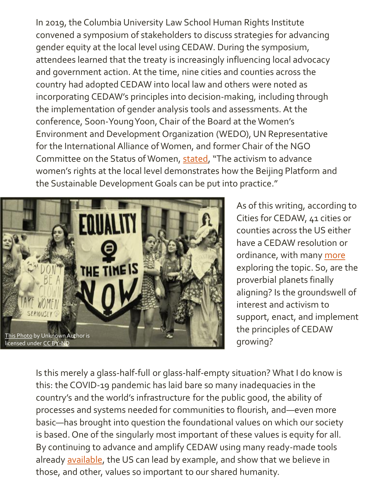In 2019, the Columbia University Law School Human Rights Institute convened a symposium of stakeholders to discuss strategies for advancing gender equity at the local level using CEDAW. During the symposium, attendees learned that the treaty is increasingly influencing local advocacy and government action. At the time, nine cities and counties across the country had adopted CEDAW into local law and others were noted as incorporating CEDAW's principles into decision-making, including through the implementation of gender analysis tools and assessments. At the conference, Soon-Young Yoon, Chair of the Board at the Women's Environment and Development Organization (WEDO), UN Representative for the International Alliance of Women, and former Chair of the NGO Committee on the Status of Women, [stated](https://web.law.columbia.edu/human-rights-institute/about/press-releases/Press-Release-Cities-for-CEDAW), "The activism to advance women's rights at the local level demonstrates how the Beijing Platform and the Sustainable Development Goals can be put into practice."



As of this writing, according to Cities for CEDAW, 41 cities or counties across the US either have a CEDAW resolution or ordinance, with many [more](http://citiesforcedaw.org/wp-content/uploads/2020/03/Landscape-Cities-for-CEDAW-Branded-for-Website-June-27-2019.pdf) exploring the topic. So, are the proverbial planets finally aligning? Is the groundswell of interest and activism to support, enact, and implement the principles of CEDAW growing?

Is this merely a glass-half-full or glass-half-empty situation? What I do know is this: the COVID-19 pandemic has laid bare so many inadequacies in the country's and the world's infrastructure for the public good, the ability of processes and systems needed for communities to flourish, and—even more basic—has brought into question the foundational values on which our society is based. One of the singularly most important of these values is equity for all. By continuing to advance and amplify CEDAW using many ready-made tools already [available](http://citiesforcedaw.org/wp-content/uploads/2020/03/CEDAW-toolkit-July-2017.pdf), the US can lead by example, and show that we believe in those, and other, values so important to our shared humanity.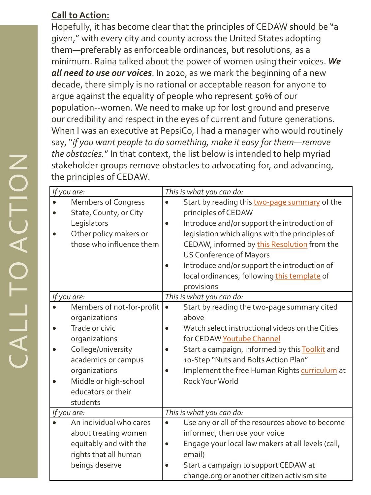## **Call to Action:**

Hopefully, it has become clear that the principles of CEDAW should be "a given," with every city and county across the United States adopting them —preferably as enforceable ordinances, but resolutions, as a minimum. Raina talked about the power of women using their voices. *We all need to use our voices*. In 2020, as we mark the beginning of a new decade, there simply is no rational or acceptable reason for anyone to argue against the equality of people who represent 50% of our population--women. We need to make up for lost ground and preserve our credibility and respect in the eyes of current and future generations. When I was an executive at PepsiCo, I had a manager who would routinely say, "*if you want people to do something, make it easy for them —remove the obstacles.*" In that context, the list below is intended to help myriad stakeholder groups remove obstacles to advocating for, and advancing, the principles of CEDAW.

| If you are: |                            |                          | This is what you can do:                          |  |
|-------------|----------------------------|--------------------------|---------------------------------------------------|--|
|             | <b>Members of Congress</b> |                          | Start by reading this two-page summary of the     |  |
|             | State, County, or City     |                          | principles of CEDAW                               |  |
|             | Legislators                |                          | Introduce and/or support the introduction of      |  |
|             | Other policy makers or     |                          | legislation which aligns with the principles of   |  |
|             | those who influence them   |                          | CEDAW, informed by this Resolution from the       |  |
|             |                            |                          | <b>US Conference of Mayors</b>                    |  |
|             |                            |                          | Introduce and/or support the introduction of      |  |
|             |                            |                          | local ordinances, following this template of      |  |
|             |                            |                          | provisions                                        |  |
| If you are: |                            | This is what you can do: |                                                   |  |
|             | Members of not-for-profit  | $\bullet$                | Start by reading the two-page summary cited       |  |
|             | organizations              |                          | above                                             |  |
|             | Trade or civic             |                          | Watch select instructional videos on the Cities   |  |
|             | organizations              |                          | for CEDAW Youtube Channel                         |  |
|             | College/university         |                          | Start a campaign, informed by this Toolkit and    |  |
|             | academics or campus        |                          | 10-Step "Nuts and Bolts Action Plan"              |  |
|             | organizations              |                          | Implement the free Human Rights curriculum at     |  |
|             | Middle or high-school      |                          | Rock Your World                                   |  |
|             | educators or their         |                          |                                                   |  |
|             | students                   |                          |                                                   |  |
| If you are: |                            | This is what you can do: |                                                   |  |
|             | An individual who cares    |                          | Use any or all of the resources above to become   |  |
|             | about treating women       |                          | informed, then use your voice                     |  |
|             | equitably and with the     | $\bullet$                | Engage your local law makers at all levels (call, |  |
|             | rights that all human      |                          | email)                                            |  |
|             | beings deserve             |                          | Start a campaign to support CEDAW at              |  |
|             |                            |                          | change.org or another citizen activism site       |  |